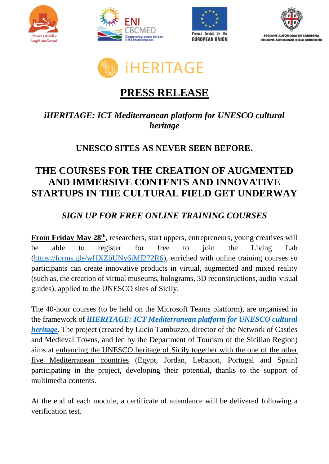









# **PRESS RELEASE**

### *iHERITAGE: ICT Mediterranean platform for UNESCO cultural heritage*

### **UNESCO SITES AS NEVER SEEN BEFORE.**

## **THE COURSES FOR THE CREATION OF AUGMENTED AND IMMERSIVE CONTENTS AND INNOVATIVE STARTUPS IN THE CULTURAL FIELD GET UNDERWAY**

### *SIGN UP FOR FREE ONLINE TRAINING COURSES*

**From Friday May 28<sup>th</sup>**, researchers, start uppers, entrepreneurs, young creatives will be able to register for free to join the Living Lab [\(https://forms.gle/wHXZbUNy6jMf272R6\)](https://forms.gle/wHXZbUNy6jMf272R6), enriched with online training courses so participants can create innovative products in virtual, augmented and mixed reality (such as, the creation of virtual museums, holograms, 3D reconstructions, audio-visual guides), applied to the UNESCO sites of Sicily.

The 40-hour courses (to be held on the Microsoft Teams platform), are organised in the framework of *[iHERITAGE: ICT Mediterranean platform for UNESCO cultural](http://www.enicbcmed.eu/projects/iheritage)  [heritage](http://www.enicbcmed.eu/projects/iheritage)*. The project (created by Lucio Tambuzzo, director of the Network of Castles and Medieval Towns, and led by the Department of Tourism of the Sicilian Region) aims at enhancing the UNESCO heritage of Sicily together with the one of the other five Mediterranean countries (Egypt, Jordan, Lebanon, Portugal and Spain) participating in the project, developing their potential, thanks to the support of multimedia contents.

At the end of each module, a certificate of attendance will be delivered following a verification test.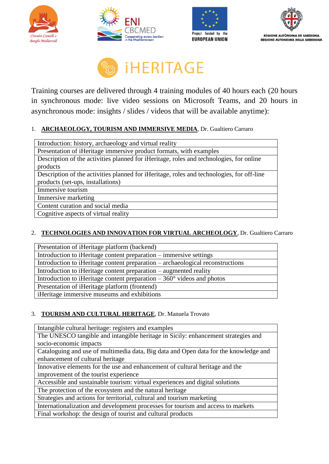









Training courses are delivered through 4 training modules of 40 hours each (20 hours in synchronous mode: live video sessions on Microsoft Teams, and 20 hours in asynchronous mode: insights / slides / videos that will be available anytime):

### 1. **ARCHAEOLOGY, TOURISM AND IMMERSIVE MEDIA**, Dr. Gualtiero Carraro

#### 2. **TECHNOLOGIES AND INNOVATION FOR VIRTUAL ARCHEOLOGY**, Dr. Gualtiero Carraro

| Presentation of iHeritage platform (backend)                                   |
|--------------------------------------------------------------------------------|
| Introduction to iHeritage content preparation – immersive settings             |
| Introduction to iHeritage content preparation – archaeological reconstructions |
| Introduction to iHeritage content preparation – augmented reality              |
| Introduction to iHeritage content preparation $-360^{\circ}$ videos and photos |
| Presentation of iHeritage platform (frontend)                                  |
| iHeritage immersive museums and exhibitions                                    |

#### 3. **TOURISM AND CULTURAL HERITAGE**, Dr. Manuela Trovato

Intangible cultural heritage: registers and examples The UNESCO tangible and intangible heritage in Sicily: enhancement strategies and socio-economic impacts Cataloguing and use of multimedia data, Big data and Open data for the knowledge and enhancement of cultural heritage Innovative elements for the use and enhancement of cultural heritage and the improvement of the tourist experience Accessible and sustainable tourism: virtual experiences and digital solutions The protection of the ecosystem and the natural heritage Strategies and actions for territorial, cultural and tourism marketing Internationalization and development processes for tourism and access to markets

Final workshop: the design of tourist and cultural products